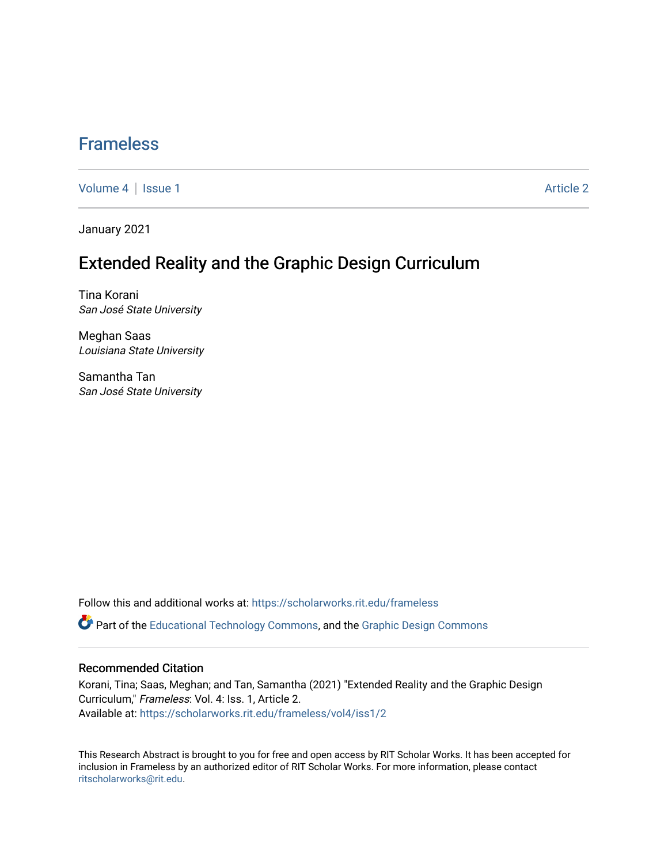### [Frameless](https://scholarworks.rit.edu/frameless)

[Volume 4](https://scholarworks.rit.edu/frameless/vol4) | [Issue 1](https://scholarworks.rit.edu/frameless/vol4/iss1) Article 2

January 2021

## Extended Reality and the Graphic Design Curriculum

Tina Korani San José State University

Meghan Saas Louisiana State University

Samantha Tan San José State University

Follow this and additional works at: [https://scholarworks.rit.edu/frameless](https://scholarworks.rit.edu/frameless?utm_source=scholarworks.rit.edu%2Fframeless%2Fvol4%2Fiss1%2F2&utm_medium=PDF&utm_campaign=PDFCoverPages)

Part of the [Educational Technology Commons,](https://network.bepress.com/hgg/discipline/1415?utm_source=scholarworks.rit.edu%2Fframeless%2Fvol4%2Fiss1%2F2&utm_medium=PDF&utm_campaign=PDFCoverPages) and the [Graphic Design Commons](https://network.bepress.com/hgg/discipline/1134?utm_source=scholarworks.rit.edu%2Fframeless%2Fvol4%2Fiss1%2F2&utm_medium=PDF&utm_campaign=PDFCoverPages) 

### Recommended Citation

Korani, Tina; Saas, Meghan; and Tan, Samantha (2021) "Extended Reality and the Graphic Design Curriculum," Frameless: Vol. 4: Iss. 1, Article 2. Available at: [https://scholarworks.rit.edu/frameless/vol4/iss1/2](https://scholarworks.rit.edu/frameless/vol4/iss1/2?utm_source=scholarworks.rit.edu%2Fframeless%2Fvol4%2Fiss1%2F2&utm_medium=PDF&utm_campaign=PDFCoverPages)

This Research Abstract is brought to you for free and open access by RIT Scholar Works. It has been accepted for inclusion in Frameless by an authorized editor of RIT Scholar Works. For more information, please contact [ritscholarworks@rit.edu](mailto:ritscholarworks@rit.edu).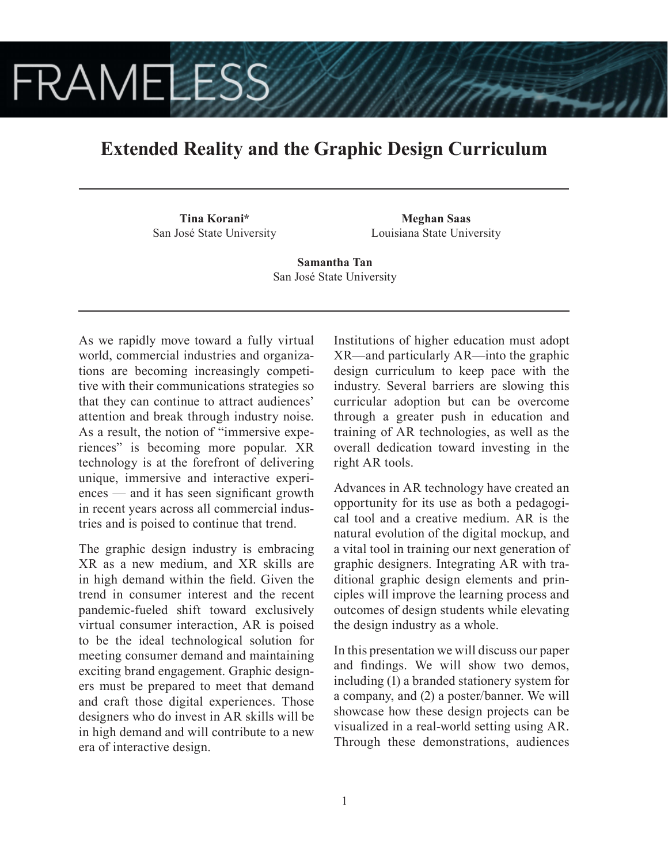# **FRAMELESS**

## **Extended Reality and the Graphic Design Curriculum**

**Tina Korani\*** San José State University

**Meghan Saas** Louisiana State University

**Samantha Tan** San José State University

As we rapidly move toward a fully virtual world, commercial industries and organizations are becoming increasingly competitive with their communications strategies so that they can continue to attract audiences' attention and break through industry noise. As a result, the notion of "immersive experiences" is becoming more popular. XR technology is at the forefront of delivering unique, immersive and interactive experiences — and it has seen significant growth in recent years across all commercial industries and is poised to continue that trend.

The graphic design industry is embracing XR as a new medium, and XR skills are in high demand within the field. Given the trend in consumer interest and the recent pandemic-fueled shift toward exclusively virtual consumer interaction, AR is poised to be the ideal technological solution for meeting consumer demand and maintaining exciting brand engagement. Graphic designers must be prepared to meet that demand and craft those digital experiences. Those designers who do invest in AR skills will be in high demand and will contribute to a new era of interactive design.

Institutions of higher education must adopt XR—and particularly AR—into the graphic design curriculum to keep pace with the industry. Several barriers are slowing this curricular adoption but can be overcome through a greater push in education and training of AR technologies, as well as the overall dedication toward investing in the right AR tools.

Advances in AR technology have created an opportunity for its use as both a pedagogical tool and a creative medium. AR is the natural evolution of the digital mockup, and a vital tool in training our next generation of graphic designers. Integrating AR with traditional graphic design elements and principles will improve the learning process and outcomes of design students while elevating the design industry as a whole.

In this presentation we will discuss our paper and findings. We will show two demos, including (1) a branded stationery system for a company, and (2) a poster/banner. We will showcase how these design projects can be visualized in a real-world setting using AR. Through these demonstrations, audiences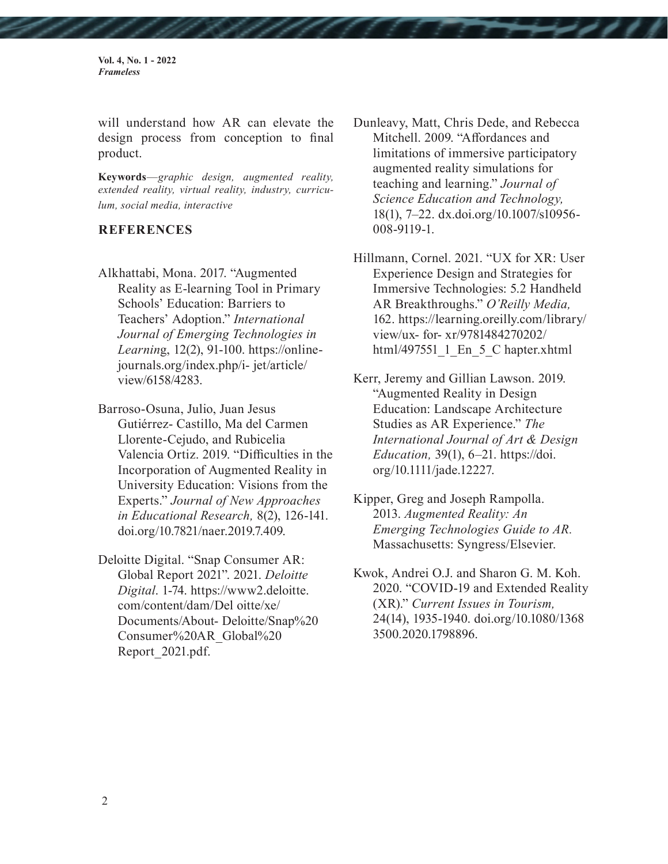**Vol. 4, No. 1 - 2022** *Frameless*

will understand how AR can elevate the design process from conception to final product.

**Keywords**—*graphic design, augmented reality, extended reality, virtual reality, industry, curriculum, social media, interactive* 

#### **REFERENCES**

Alkhattabi, Mona. 2017. "Augmented Reality as E-learning Tool in Primary Schools' Education: Barriers to Teachers' Adoption." *International Journal of Emerging Technologies in Learnin*g, 12(2), 91-100. https://onlinejournals.org/index.php/i- jet/article/ view/6158/4283.

Barroso-Osuna, Julio, Juan Jesus Gutiérrez- Castillo, Ma del Carmen Llorente-Cejudo, and Rubicelia Valencia Ortiz. 2019. "Difficulties in the Incorporation of Augmented Reality in University Education: Visions from the Experts." *Journal of New Approaches in Educational Research,* 8(2), 126-141. doi.org/10.7821/naer.2019.7.409.

Deloitte Digital. "Snap Consumer AR: Global Report 2021". 2021. *Deloitte Digital*. 1-74. https://www2.deloitte. com/content/dam/Del oitte/xe/ Documents/About- Deloitte/Snap%20 Consumer%20AR\_Global%20 Report\_2021.pdf.

- Dunleavy, Matt, Chris Dede, and Rebecca Mitchell. 2009. "Affordances and limitations of immersive participatory augmented reality simulations for teaching and learning." *Journal of Science Education and Technology,* 18(1), 7–22. dx.doi.org/10.1007/s10956- 008-9119-1.
- Hillmann, Cornel. 2021. "UX for XR: User Experience Design and Strategies for Immersive Technologies: 5.2 Handheld AR Breakthroughs." *O'Reilly Media,* 162. https://learning.oreilly.com/library/ view/ux- for- xr/9781484270202/ html/497551\_1\_En\_5\_C hapter.xhtml
- Kerr, Jeremy and Gillian Lawson. 2019. "Augmented Reality in Design Education: Landscape Architecture Studies as AR Experience." *The International Journal of Art & Design Education,* 39(1), 6–21. https://doi. org/10.1111/jade.12227.
- Kipper, Greg and Joseph Rampolla. 2013. *Augmented Reality: An Emerging Technologies Guide to AR.*  Massachusetts: Syngress/Elsevier.
- Kwok, Andrei O.J. and Sharon G. M. Koh. 2020. "COVID-19 and Extended Reality (XR)." *Current Issues in Tourism,* 24(14), 1935-1940. doi.org/10.1080/1368 3500.2020.1798896.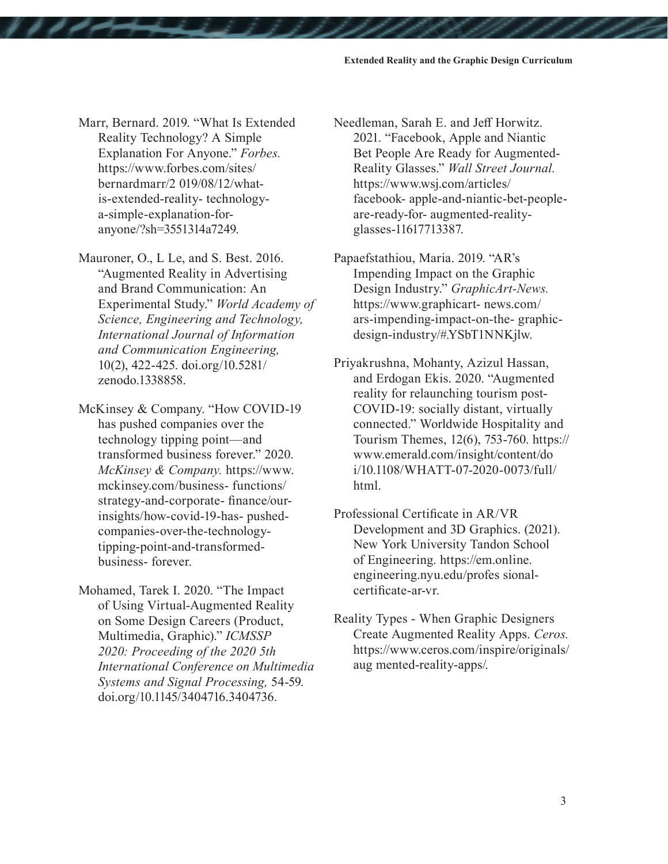- Marr, Bernard. 2019. "What Is Extended Reality Technology? A Simple Explanation For Anyone." *Forbes.* https://www.forbes.com/sites/ bernardmarr/2 019/08/12/whatis-extended-reality- technologya-simple-explanation-foranyone/?sh=3551314a7249.
- Mauroner, O., L Le, and S. Best. 2016. "Augmented Reality in Advertising and Brand Communication: An Experimental Study." *World Academy of Science, Engineering and Technology, International Journal of Information and Communication Engineering,*  10(2), 422-425. doi.org/10.5281/ zenodo.1338858.
- McKinsey & Company. "How COVID-19 has pushed companies over the technology tipping point—and transformed business forever." 2020. *McKinsey & Company.* https://www. mckinsey.com/business- functions/ strategy-and-corporate- finance/ourinsights/how-covid-19-has- pushedcompanies-over-the-technologytipping-point-and-transformedbusiness- forever.
- Mohamed, Tarek I. 2020. "The Impact of Using Virtual-Augmented Reality on Some Design Careers (Product, Multimedia, Graphic)." *ICMSSP 2020: Proceeding of the 2020 5th International Conference on Multimedia Systems and Signal Processing,* 54-59. doi.org/10.1145/3404716.3404736.
- Needleman, Sarah E. and Jeff Horwitz. 2021. "Facebook, Apple and Niantic Bet People Are Ready for Augmented-Reality Glasses." *Wall Street Journal.*  https://www.wsj.com/articles/ facebook- apple-and-niantic-bet-peopleare-ready-for- augmented-realityglasses-11617713387.
- Papaefstathiou, Maria. 2019. "AR's Impending Impact on the Graphic Design Industry." *GraphicArt-News.*  https://www.graphicart- news.com/ ars-impending-impact-on-the- graphicdesign-industry/#.YSbT1NNKjlw.
- Priyakrushna, Mohanty, Azizul Hassan, and Erdogan Ekis. 2020. "Augmented reality for relaunching tourism post-COVID-19: socially distant, virtually connected." Worldwide Hospitality and Tourism Themes, 12(6), 753-760. https:// www.emerald.com/insight/content/do i/10.1108/WHATT-07-2020-0073/full/ html.
- Professional Certificate in AR/VR Development and 3D Graphics. (2021). New York University Tandon School of Engineering. https://em.online. engineering.nyu.edu/profes sionalcertificate-ar-vr.
- Reality Types When Graphic Designers Create Augmented Reality Apps. *Ceros.*  https://www.ceros.com/inspire/originals/ aug mented-reality-apps/.